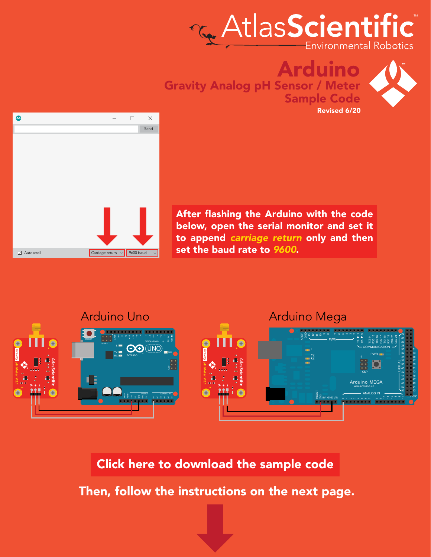





After flashing the Arduino with the code below, open the serial monitor and set it to append *carriage return* only and then set the baud rate to *9600*.



#### [Click here to download the sample code](https://www.atlas-scientific.com/files/atlas_gravity.zip)

Then, follow the instructions on the next page.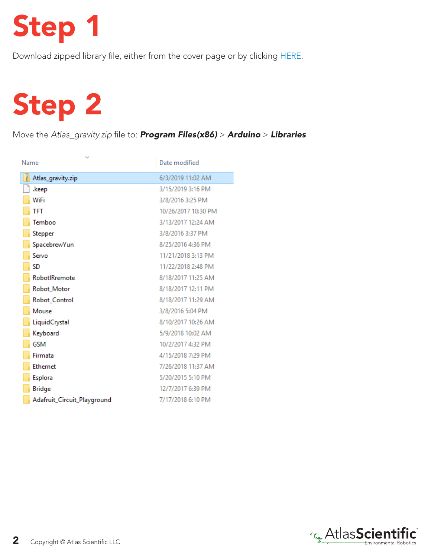## Step 1

Download zipped library file, either from the cover page or by clicking [HERE.](https://www.atlas-scientific.com/files/atlas_gravity.zip)

# Step 2

Move the *Atlas\_gravity.zip* file to: *Program Files(x86)* > *Arduino* > *Libraries*

| $\mathcal{N}_{\mathbf{q}}$<br>Name | Date modified       |
|------------------------------------|---------------------|
| Ų<br>Atlas_gravity.zip             | 6/3/2019 11:02 AM   |
| .keep                              | 3/15/2019 3:16 PM   |
| WiFi                               | 3/8/2016 3:25 PM    |
| TFT                                | 10/26/2017 10:30 PM |
| Temboo                             | 3/13/2017 12:24 AM  |
| Stepper                            | 3/8/2016 3:37 PM    |
| SpacebrewYun                       | 8/25/2016 4:36 PM   |
| Servo                              | 11/21/2018 3:13 PM  |
| SD                                 | 11/22/2018 2:48 PM  |
| RobotlRremote                      | 8/18/2017 11:25 AM  |
| Robot_Motor                        | 8/18/2017 12:11 PM  |
| Robot_Control                      | 8/18/2017 11:29 AM  |
| Mouse                              | 3/8/2016 5:04 PM    |
| LiquidCrystal                      | 8/10/2017 10:26 AM  |
| Keyboard                           | 5/9/2018 10:02 AM   |
| <b>GSM</b>                         | 10/2/2017 4:32 PM   |
| Firmata                            | 4/15/2018 7:29 PM   |
| <b>Ethernet</b>                    | 7/26/2018 11:37 AM  |
| Esplora                            | 5/20/2015 5:10 PM   |
| <b>Bridge</b>                      | 12/7/2017 6:39 PM   |
| Adafruit_Circuit_Playground        | 7/17/2018 6:10 PM   |